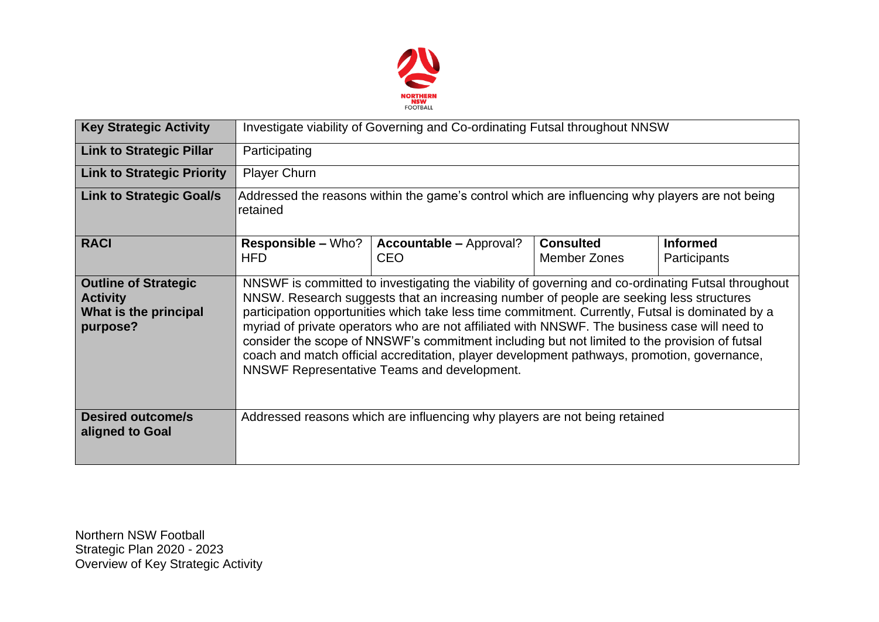

| <b>Key Strategic Activity</b>                                                       | Investigate viability of Governing and Co-ordinating Futsal throughout NNSW                                                                                                                                                                                                                                                                                                                                                                                                                                                                                                                                                                       |                                                                            |                                         |                                 |  |  |  |
|-------------------------------------------------------------------------------------|---------------------------------------------------------------------------------------------------------------------------------------------------------------------------------------------------------------------------------------------------------------------------------------------------------------------------------------------------------------------------------------------------------------------------------------------------------------------------------------------------------------------------------------------------------------------------------------------------------------------------------------------------|----------------------------------------------------------------------------|-----------------------------------------|---------------------------------|--|--|--|
| <b>Link to Strategic Pillar</b>                                                     | Participating                                                                                                                                                                                                                                                                                                                                                                                                                                                                                                                                                                                                                                     |                                                                            |                                         |                                 |  |  |  |
| <b>Link to Strategic Priority</b>                                                   | <b>Player Churn</b>                                                                                                                                                                                                                                                                                                                                                                                                                                                                                                                                                                                                                               |                                                                            |                                         |                                 |  |  |  |
| <b>Link to Strategic Goal/s</b>                                                     | Addressed the reasons within the game's control which are influencing why players are not being<br>retained                                                                                                                                                                                                                                                                                                                                                                                                                                                                                                                                       |                                                                            |                                         |                                 |  |  |  |
| <b>RACI</b>                                                                         | <b>Responsible – Who?</b><br><b>HFD</b>                                                                                                                                                                                                                                                                                                                                                                                                                                                                                                                                                                                                           | <b>Accountable – Approval?</b><br><b>CEO</b>                               | <b>Consulted</b><br><b>Member Zones</b> | <b>Informed</b><br>Participants |  |  |  |
| <b>Outline of Strategic</b><br><b>Activity</b><br>What is the principal<br>purpose? | NNSWF is committed to investigating the viability of governing and co-ordinating Futsal throughout<br>NNSW. Research suggests that an increasing number of people are seeking less structures<br>participation opportunities which take less time commitment. Currently, Futsal is dominated by a<br>myriad of private operators who are not affiliated with NNSWF. The business case will need to<br>consider the scope of NNSWF's commitment including but not limited to the provision of futsal<br>coach and match official accreditation, player development pathways, promotion, governance,<br>NNSWF Representative Teams and development. |                                                                            |                                         |                                 |  |  |  |
| <b>Desired outcome/s</b><br>aligned to Goal                                         |                                                                                                                                                                                                                                                                                                                                                                                                                                                                                                                                                                                                                                                   | Addressed reasons which are influencing why players are not being retained |                                         |                                 |  |  |  |

Northern NSW Football Strategic Plan 2020 - 2023 Overview of Key Strategic Activity